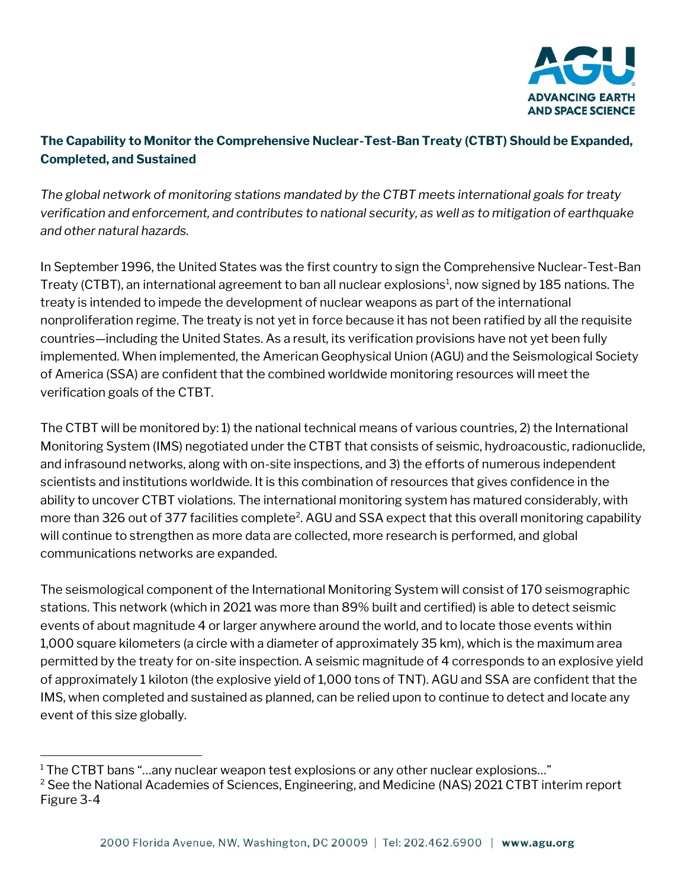

## **The Capability to Monitor the Comprehensive Nuclear-Test-Ban Treaty (CTBT) Should be Expanded, Completed, and Sustained**

*The global network of monitoring stations mandated by the CTBT meets international goals for treaty verification and enforcement, and contributes to national security, as well as to mitigation of earthquake and other natural hazards.*

In September 1996, the United States was the first country to sign the Comprehensive Nuclear-Test-Ban Treaty (CTBT), an international agreement to ban all nuclear explosions<sup>1</sup>, now signed by 185 nations. The treaty is intended to impede the development of nuclear weapons as part of the international nonproliferation regime. The treaty is not yet in force because it has not been ratified by all the requisite countries—including the United States. As a result, its verification provisions have not yet been fully implemented. When implemented, the American Geophysical Union (AGU) and the Seismological Society of America (SSA) are confident that the combined worldwide monitoring resources will meet the verification goals of the CTBT.

The CTBT will be monitored by: 1) the national technical means of various countries, 2) the International Monitoring System (IMS) negotiated under the CTBT that consists of seismic, hydroacoustic, radionuclide, and infrasound networks, along with on-site inspections, and 3) the efforts of numerous independent scientists and institutions worldwide. It is this combination of resources that gives confidence in the ability to uncover CTBT violations. The international monitoring system has matured considerably, with more than 326 out of 377 facilities complete<sup>2</sup>. AGU and SSA expect that this overall monitoring capability will continue to strengthen as more data are collected, more research is performed, and global communications networks are expanded.

The seismological component of the International Monitoring System will consist of 170 seismographic stations. This network (which in 2021 was more than 89% built and certified) is able to detect seismic events of about magnitude 4 or larger anywhere around the world, and to locate those events within 1,000 square kilometers (a circle with a diameter of approximately 35 km), which is the maximum area permitted by the treaty for on-site inspection. A seismic magnitude of 4 corresponds to an explosive yield of approximately 1 kiloton (the explosive yield of 1,000 tons of TNT). AGU and SSA are confident that the IMS, when completed and sustained as planned, can be relied upon to continue to detect and locate any event of this size globally.

<sup>&</sup>lt;sup>1</sup> The CTBT bans "...any nuclear weapon test explosions or any other nuclear explosions..."

<sup>&</sup>lt;sup>2</sup> See the National Academies of Sciences, Engineering, and Medicine (NAS) 2021 CTBT interim report Figure 3-4